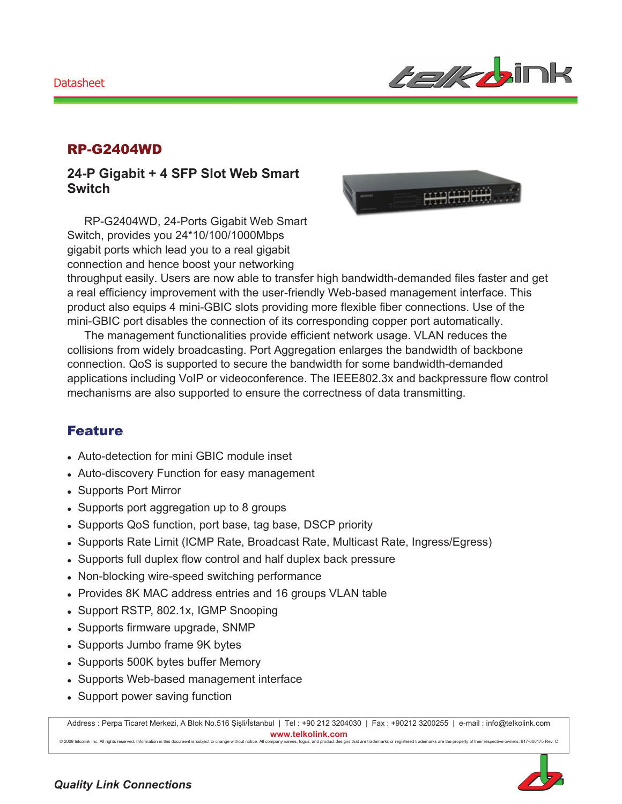#### Datasheet



#### RP-G2404WD

#### **24-P Gigabit + 4 SFP Slot Web Smart Switch**

RP-G2404WD, 24-Ports Gigabit Web Smart Switch, provides you 24\*10/100/1000Mbps gigabit ports which lead you to a real gigabit connection and hence boost your networking



throughput easily. Users are now able to transfer high bandwidth-demanded files faster and get a real efficiency improvement with the user-friendly Web-based management interface. This product also equips 4 mini-GBIC slots providing more flexible fiber connections. Use of the mini-GBIC port disables the connection of its corresponding copper port automatically.

The management functionalities provide efficient network usage. VLAN reduces the collisions from widely broadcasting. Port Aggregation enlarges the bandwidth of backbone connection. QoS is supported to secure the bandwidth for some bandwidth-demanded applications including VoIP or videoconference. The IEEE802.3x and backpressure flow control mechanisms are also supported to ensure the correctness of data transmitting.

## Feature

- Auto-detection for mini GBIC module inset
- Auto-discovery Function for easy management
- Supports Port Mirror
- Supports port aggregation up to 8 groups
- Supports QoS function, port base, tag base, DSCP priority
- Supports Rate Limit (ICMP Rate, Broadcast Rate, Multicast Rate, Ingress/Egress)
- Supports full duplex flow control and half duplex back pressure
- Non-blocking wire-speed switching performance
- Provides 8K MAC address entries and 16 groups VLAN table
- Support RSTP, 802.1x, IGMP Snooping
- Supports firmware upgrade, SNMP
- Supports Jumbo frame 9K bytes
- Supports 500K bytes buffer Memory
- Supports Web-based management interface
- Support power saving function

Address : Perpa Ticaret Merkezi, A Blok No.516 Şişli/İstanbul | Tel : +90 212 3204030 | Fax : +90212 3200255 | e-mail : info@telkolink.com  $www.telkolink.com$ 

© 2009 te lcolink Inc. All rights re se rve d. Information in this docume nt is subje ct to change without notice . All company name s, logos, and product designs that are trademarks or registered trademarks are the property of their respective owners. 617-000175 Rev. C